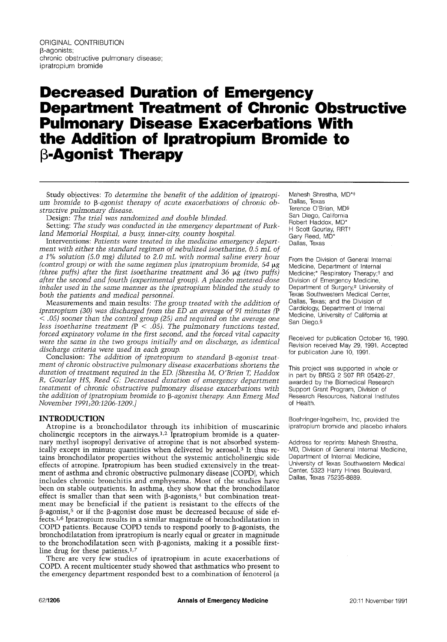# **Decreased Duration of Emergency Department Treatment of Chronic Obstructive Pulmonary Disease Exacerbations With the Addition of Ipratropium Bromide to -Agonist Therapy**

Study objectives: *To determine the benefit of the addition of ipratropium bromide to*  $\beta$ *-agonist therapy of acute exacerbations of chronic obstructive pulmonary disease.* 

Design: *The trial was randomized and double blinded.* 

Setting: *The study was conducted in the emergency department of Parkland Memorial Hospital, a busy, inner-city, county hospital.* 

Interventions: *Patients were treated in the medicine emergency department with either the standard regimen of nebulized isoetharine, 0.5 mL of a 1% solution (5.0 rag) diluted to 2.0 mL with normal saline every hour (control group) or with the same regimen plus ipratropium bromide, 54*  $\mu$ g *(three puffs) after the first isoetharine treatment and 36 µg (two puffs) after the second and fourth (experimental group). A placebo metered-dose*  inhaler used in the same manner as the ipratropium blinded the study to *both the patients and medical personnel.* 

Measurements and main results: *The group treated with the addition of ipratropium (30) was discharged from the ED an average of 91 minutes (P < .05) sooner than the control group (25) and required on the average one less isoetharine treatment (P < .05). The pulmonary functions tested, forced expiratory volume in the first second, and the forced vital capacity were the same in the two groups initially and on discharge, as identical discharge criteria were used in each group.* 

Conclusion: The addition of ipratropium to standard  $\beta$ -agonist treat*ment of chronic obstructive pulmonary disease exacerbations shortens the duration of treatment required in the ED. [Shrestha M, O'Brien T, Haddox R, Gourlay HS, Reed G." Decreased duration of emergency department treatment of chronic obstructive pulmonary disease exacerbations with the addition of ipratropium bromide to β-agonist therapy. Ann Emerg Med November 1991;20:1206-1209.]* 

## **INTRODUCTION**

Atropine is a bronchodilator through its inhibition of muscarinic cholinergic receptors in the airways.<sup>1,2</sup> Ipratropium bromide is a quaternary methyl isopropyl derivative of atropine that is not absorbed systemically except in minute quantities when delivered by aerosol.<sup>3</sup> It thus retains bronchodilator properties without the systemic anticholinergic side effects of atropine. Ipratropium has been studied extensively in the treatment of asthma and chronic obstructive pulmonary disease (COPD), which includes chronic bronchitis and emphysema. Most of the studies have been on stable outpatients. In asthma, they show that the bronchodilator effect is smaller than that seen with  $\beta$ -agonists,<sup>4</sup> but combination treatment may be beneficial if the patient is resistant to the effects of the  $\beta$ -agonist,<sup>5</sup> or if the  $\beta$ -agonist dose must be decreased because of side effects. 1,6 Ipratropium results in a similar magnitude of bronchodilatation in COPD patients. Because COPD tends to respond poorly to  $\beta$ -agonists, the bronchodilatation from ipratropium is nearly equal or greater in magnitude to the bronchodilatation seen with  $\beta$ -agonists, making it a possible firstline drug for these patients. $1,7$ 

There are very few studies of ipratropium in acute exacerbations of COPD. A recent multicenter study showed that asthmatics who present to the emergency department responded best to a combination of fenoterol (a Mahesh Shrestha, MD\*<sup>‡</sup> Dallas, Texas Terence O'Brien, MD§ San Diego, California Robert Haddox, MD\* H Scott Gourlay, RRT<sup>+</sup> Gary Reed, MD\* Dallas, Texas

From the Division of General Internal Medicine, Department of Internal Medicine;\* Respiratory Therapy;† and Division of Emergency Medicine, Department of Surgery,<sup>#</sup> University of Texas Southwestern Medical Center, Dallas, Texas; and the Division of Cardiology, Department of Internal Medicine, University of California at San Diego.§

Received for publication October 16, 1990. Revision received May 29, 1991. Accepted for publication June 10, 1991.

This project was supported in whole or in part by BRSG 2 S07 RR 05426-27, awarded by the Biomedical Research Support Grant Program, Division of Research Resources, National Institutes of Health.

Boehringer-lngelheim, Inc, provided the ipratropium bromide and placebo inhalers.

Address for reprints: Mahesh Shrestha, MD, Division of General Internal Medicine, Department of Internal Medicine, University of Texas Southwestern Medical Center, 5323 Harry Hines Boulevard, Dallas, Texas 75235-8889.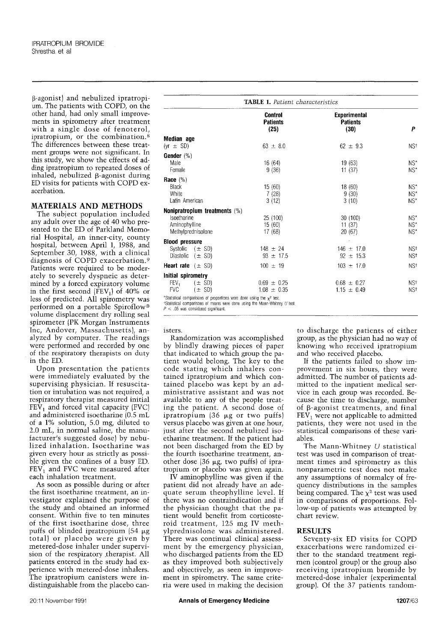$\beta$ -agonist) and nebulized ipratropium. The patients with COPD, on the other hand, had only small improvements in spirometry after treatment with a single dose of fenoterol, ipratropium, or the combination. 8 The differences between these treatment groups were not significant. In this study, we show the effects of adding ipratropium to repeated doses of inhaled, nebulized  $\beta$ -agonist during ED visits for patients with COPD exacerbation.

# **MATERIALS AND METHODS**

The subject population included any adult over the age of 40 who presented to the ED of Parkland Memorial Hospital, an inner-city, county hospital, between April 1, 1988, and September 30, 1988, with a clinical diagnosis of COPD exacerbation. 9 Patients were required to be moderately to severely dyspneic as determined by a forced expiratory volume in the first second  $(FEV_1)$  of 40% or less of predicted. All spirometry was performed on a portable Spiroflow<sup>®</sup> volume displacement dry rolling seal spirometer (PK Morgan Instruments Inc, Andover, Massachusetts), analyzed by computer. The readings were performed and recorded by one of the respiratory therapists on duty in the ED.

Upon presentation the patients were immediately evaluated by the supervising physician. If resuscitation or intubation was not required, a respiratory therapist measured initial  $FEV<sub>1</sub>$  and forced vital capacity (FVC) and administered isoetharine (0.5 mL of a 1% solution, 5.0 mg, diluted to 2.0 *mL,* in normal saline, the manufacturer's suggested dose) by nebulized inhalation. Isoetharine was given every hour as strictly as possible given the confines of a busy ED.  $FEV<sub>1</sub>$  and FVC were measured after each inhalation treatment.

As soon as possible during or after the first isoetharine treatment, an investigator explained the purpose of the study and obtained an informed consent. Within five to ten minutes of the first isoetharine dose, three puffs of blinded ipratropium (54  $\mu$ g total) or placebo were given by metered-dose inhaler under supervision of the respiratory therapist. All patients entered in the study had experience with metered-dose inhalers. The ipratropium canisters were indistinguishable from the placebo can-

| <b>TABLE 1.</b> Patient characteristics                                                                                               |                                           |                                                |                                  |  |
|---------------------------------------------------------------------------------------------------------------------------------------|-------------------------------------------|------------------------------------------------|----------------------------------|--|
|                                                                                                                                       | <b>Control</b><br><b>Patients</b><br>(25) | <b>Experimental</b><br><b>Patients</b><br>(30) | P                                |  |
| Median age                                                                                                                            |                                           |                                                |                                  |  |
| $(yr \pm SD)$                                                                                                                         | $63 \pm 8.0$                              | $62 \pm 9.3$                                   | NS†                              |  |
| Gender $(\%)$<br>Male<br>Female                                                                                                       | 16 (64)<br>9(36)                          | 19 (63)<br>11(37)                              | $NS^*$<br>$NS^*$                 |  |
| Race $(\%)$<br>Black<br>White<br>Latin American                                                                                       | 15(60)<br>7(28)<br>3(12)                  | 18(60)<br>9(30)<br>3(10)                       | $NS^*$<br>$NS^*$<br>$NS^*$       |  |
| Nonipratropium treatments $(\%)$                                                                                                      |                                           |                                                |                                  |  |
| Isoetharine<br>Aminophylline<br>Methylprednisolone                                                                                    | 25 (100)<br>15(60)<br>17 (68)             | 30(100)<br>11(37)<br>20 (67)                   | $NS^*$<br>$NS^*$<br>$NS^{\star}$ |  |
| <b>Blood pressure</b>                                                                                                                 |                                           |                                                |                                  |  |
| Systolic $(\pm$ SD)<br>Diastolic $(\pm$ SD)                                                                                           | $148 \pm 24$<br>$93 \pm 17.5$             | $146 \pm 17.0$<br>$92 \pm 15.3$                | NS <sup>t</sup><br>NS†           |  |
| <b>Heart rate</b> $(\pm$ SD)                                                                                                          | $100 \pm 19$                              | $103 \pm 17.0$                                 | NS <sup>t</sup>                  |  |
| Initial spirometry                                                                                                                    |                                           |                                                |                                  |  |
| FEV <sub>1</sub><br>$(\pm$ SD)<br><b>FVC</b><br>$(\pm$ SD)<br>*Statistical comparisons of proportions were done using the $x^2$ test. | $0.69 \pm 0.25$<br>$1.08 \pm 0.35$        | $0.68 \pm 0.27$<br>$1.15 \pm 0.49$             | NS†<br>NS†                       |  |

tStatistical comparisons of means were done using the Mann-Whitney  $U$  test

 $<$  .05 was considered significant

isters.

Randomization was accomplished by blindly drawing pieces of paper that indicated to which group the patient would belong. The key to the code stating which inhalers contained ipratropium and which contained placebo was kept by an administrative assistant and was not available to any of the people treating the patient. A second dose of ipratropium  $(36 \mu g)$  or two puffs) versus placebo was given at one hour, just after the second nebulized isoetharine treatment. If the patient had not been discharged from the ED by the fourth isoetharine treatment, another dose  $(36 \mu g, two \text{ purfs})$  of ipratropium or placebo was given again.

IV aminophylline was given if the patient did not already have an adequate serum theophylline level. If there was no contraindication and if the physician thought that the patient would benefit from corticosteroid treatment, 125 mg IV methylprednisolone was administered. There was continual clinical assessment by the emergency physician, who discharged patients from the ED as they improved both subjectively and objectively, as seen in improvement in spirometry. The same criteria were used in making the decision

to discharge the patients of either group, as the physician had no way of knowing who received ipratropium and who received placebo.

If the patients failed to show improvement in six hours, they were admitted. The number of patients admitted to the inpatient medical service in each group was recorded. Because the time to discharge, number of  $\beta$ -agonist treatments, and final  $FEV<sub>1</sub>$  were not applicable to admitted patients, they were not used in the statistical comparisons of these variables.

The Mann-Whitney U statistical test was used in comparison of treatment times and spirometry as this nonparametric test does not make any assumptions of normalcy of frequency distributions in the samples being compared. The  $\chi^2$  test was used in comparisons of proportions. Follow-up of patients was attempted by chart review.

#### **RESULTS**

Seventy-six ED visits for COPD exacerbations were randomized either to the standard treatment regimen (control group) or the group also receiving ipratropium bromide by metered-dose inhaler (experimental group). Of the 37 patients random-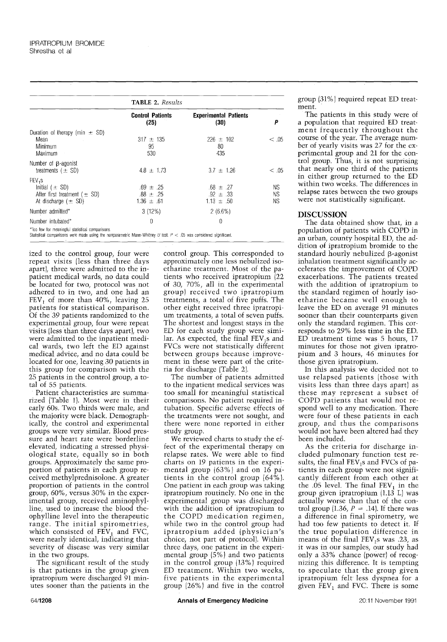|                                                                                                         | <b>TABLE 2.</b> Results                          |                                                  |                |  |  |
|---------------------------------------------------------------------------------------------------------|--------------------------------------------------|--------------------------------------------------|----------------|--|--|
|                                                                                                         | <b>Control Patients</b><br>(25)                  | <b>Experimental Patients</b><br>(30)             | Ρ              |  |  |
| Duration of therapy (min $\pm$ SD)<br>Mean<br><b>Contractor</b><br>Minimum<br><b>Maximum</b>            | $317 \pm 135$<br>95<br>530                       | $226 \pm 102$<br>80<br>435                       | $<$ .05        |  |  |
| Number of $\beta$ -agonist<br>treatments $(\pm SD)$                                                     | $4.8 \pm 1.73$                                   | $3.7 \pm 1.26$                                   | < .05          |  |  |
| FEV <sub>1</sub> S<br>Initial $(\pm$ SD)<br>After first treatment $(\pm$ SD)<br>At discharge $(\pm$ SD) | $.69 \pm .25$<br>$.88 \pm .25$<br>$1.36 \pm .61$ | $.68 \pm .27$<br>$.92 \pm .33$<br>$1.13 \pm .50$ | ΝS<br>ΝS<br>ΝS |  |  |
| Number admitted*                                                                                        | 3(12%)                                           | $2(6.6\%)$                                       |                |  |  |
| Number intubated*                                                                                       | $\overline{0}$                                   | $\theta$                                         |                |  |  |

Too few for meaningful statistical comparisons.

Statistical comparisons were made using the nonparametric Mann-Whitney U test.  $P < .05$  was considered significant.

ized to the control group, four were repeat visits (less than three days apart), three were admitted to the inpatient medical wards, no data could be located for two, protocol was not adhered to in two, and one had an FEV, of more than  $40\%$ , leaving 25 patients for statistical comparison. Of the 39 patients randomized to the experimental group, four were repeat visits (less than three days apart), two were admitted to the inpatient medical wards, two left the ED against medical advice, and no data could be located for one. leaving 30 patients in this group for comparison with the 25 patients in the control group, a total of 55 patients.

Patient characteristics are summarized (Table 1). Most were in their early 60s. Two thirds were male, and the majority were black. Demographically, the control and experimental groups were very similar. Blood pressure and heart rate were borderline elevated, indicating a stressed physiological state, equally so in both groups. Approximately the same proportion of patients in each group received methylprednisolone. A greater proportion of patients in the control group, 60%. versus 30% in the experimental group, received aminophylline, used to increase the blood theophylline level into the therapeutic range. The initial spirometries. which consisted of  $FEV<sub>1</sub>$  and  $FVC<sub>1</sub>$ were nearly identical, indicating that severity of disease was very similar in the two groups.

The significant result of the study is that patients in the group given ipratropium were discharged 91 minutes sooner than the patients in the **control** group. This corresponded to approximately one less nebulized isoetharine treatment. Most of the patients who received ipratropium (22 of 30, 70%, all in the experimental group) received two ipratropium treatments, a total of five puffs. The other eight received three ipratropium treatments, a total of seven puffs. The shortest and longest stays in the ED for each study group were similar. As expected, the final  $FEV<sub>1</sub>s$  and FVCs were not statistically different between groups because improvement in these were part of the criteria for discharge (Table 2).

The number of patients admitted **to** the inpatient medical services was too small for meaningful statistical comparisons. No patient required intubation. Specific adverse effects of the treatments were not sought, and there were none reported in either study group.

We reviewed charts to study the effect of the experimental therapy on relapse rates. We were able to find charts on 19 patients in the experimental group (63%) and on 16 patients in the control group (64%). One patient in each group was taking ipratropium routinely. No one in the experimental group was discharged with the addition of ipratropium to the COPD medication regimen, while two in the control group had iprarropium added (physician's choice, not part of protocol). Within three days, one patient in the experimental group  $(5\%)$  and two patients in the control group (13%) required ED treatment. Within two weeks, five patients in the experimental group (26%) and five in the control

group (31%) required repeat ED treatment.

The patients in this study were of a population that required ED treatment frequently throughout the course of the year. The average number of yearly visits was 27 for the experimental group and 21 for the control group. Thus, it is not surprising that nearly one third of the patients in either group returned to the ED within two weeks. The differences in relapse rates between the two groups were not statistically significant.

#### DISCUSSION

The data obtained show that, in a population of patients with COPD in an urban, county hospital ED, the ad: dition of ipratropium bromide to the standard hourly nebulized  $\beta$ -agonist inhalation treatment significantly accelerates the improvement of COPD exacerbations. The patients treated with the addition of ipratropium to the standard regimen of hourly isoetharine became well enough to leave the ED on average 91 minutes sooner than their counterparts given only the standard regimen. This corresponds to 29% less time in the ED.  $ED$  treatment time was 5 hours. 17 minutes for those not given ipratropium and 3 hours, 46 minutes for those given ipratropium.

In this analysis we decided not to use relapsed patients (those with visits less than three days apart) as these may represent a subset of COPD patients that would not respond well to any medication. There were four of these patients in each group, and thus the comparisons would not have been altered had they been included.

As the criteria for discharge included pulmonary function test results, the final  $FEV<sub>1</sub>s$  and FVCs of patients in each group were not significantly different from each other at the .05 level. The final  $FEV_1$  in the group given ipratropium (1.13 L) was actually worse than that of the control group (1.36,  $P = .14$ ). If there was a difference in final spirometry, we had too few patients to detect it. If the true population difference in means of the final FEV<sub>1</sub>s was .23, as it was in our samples, our study had only a 33% chance (power) of recognizing this difference. It is tempting to speculate that the group given ipratropium felt less dyspnea for a given  $FEV_1$  and FVC. There is some